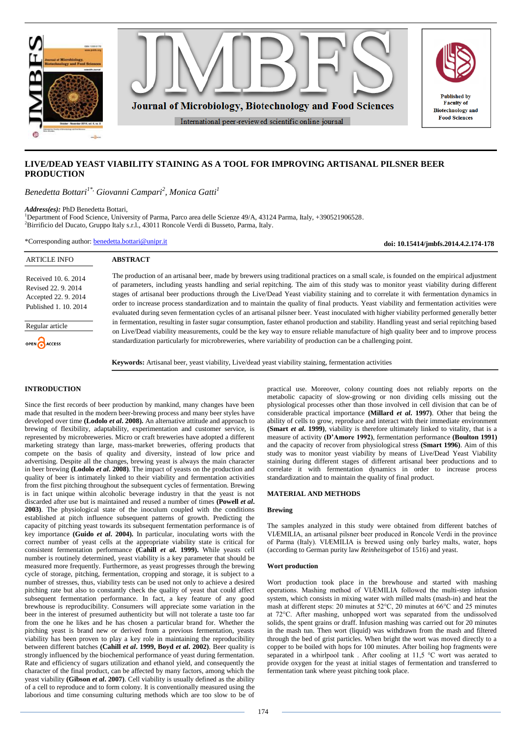

# **LIVE/DEAD YEAST VIABILITY STAINING AS A TOOL FOR IMPROVING ARTISANAL PILSNER BEER PRODUCTION**

*Benedetta Bottari1\*, Giovanni Campari<sup>2</sup> , Monica Gatti<sup>1</sup>*

*Address(es):* PhD Benedetta Bottari,

<sup>1</sup>Department of Food Science, University of Parma, Parco area delle Scienze 49/A, 43124 Parma, Italy, +390521906528. <sup>2</sup>Birrificio del Ducato, Gruppo Italy s.r.l., 43011 Roncole Verdi di Busseto, Parma, Italy.

\*Corresponding author: [benedetta.bottari@unipr.it](mailto:benedetta.bottari@unipr.it)

**doi: 10.15414/jmbfs.2014.4.2.174-178**

| <b>ARTICLE INFO</b>                                                                          | <b>ABSTRACT</b>                                                                                                                                                                                                                                                                                                                                                                                                                                                                                                                                                                                                                                                                                                                                                                                                                                                                                                                                                                                                                                                                                                               |
|----------------------------------------------------------------------------------------------|-------------------------------------------------------------------------------------------------------------------------------------------------------------------------------------------------------------------------------------------------------------------------------------------------------------------------------------------------------------------------------------------------------------------------------------------------------------------------------------------------------------------------------------------------------------------------------------------------------------------------------------------------------------------------------------------------------------------------------------------------------------------------------------------------------------------------------------------------------------------------------------------------------------------------------------------------------------------------------------------------------------------------------------------------------------------------------------------------------------------------------|
| Received 10, 6, 2014<br>Revised 22, 9, 2014<br>Accepted 22, 9, 2014<br>Published 1, 10, 2014 | The production of an artisanal beer, made by brewers using traditional practices on a small scale, is founded on the empirical adjustment<br>of parameters, including yeasts handling and serial repitching. The aim of this study was to monitor yeast viability during different<br>stages of artisanal beer productions through the Live/Dead Yeast viability staining and to correlate it with fermentation dynamics in<br>order to increase process standardization and to maintain the quality of final products. Yeast viability and fermentation activities were<br>evaluated during seven fermentation cycles of an artisanal pilsner beer. Yeast inoculated with higher viability performed generally better<br>in fermentation, resulting in faster sugar consumption, faster ethanol production and stability. Handling yeast and serial repitching based<br>on Live/Dead viability measurements, could be the key way to ensure reliable manufacture of high quality beer and to improve process<br>standardization particularly for microbreweries, where variability of production can be a challenging point. |
| Regular article                                                                              |                                                                                                                                                                                                                                                                                                                                                                                                                                                                                                                                                                                                                                                                                                                                                                                                                                                                                                                                                                                                                                                                                                                               |
| OPEN CACCESS                                                                                 |                                                                                                                                                                                                                                                                                                                                                                                                                                                                                                                                                                                                                                                                                                                                                                                                                                                                                                                                                                                                                                                                                                                               |
|                                                                                              | <b>Keywords:</b> Artisanal beer, yeast viability, Live/dead yeast viability staining, fermentation activities                                                                                                                                                                                                                                                                                                                                                                                                                                                                                                                                                                                                                                                                                                                                                                                                                                                                                                                                                                                                                 |

# **INTRODUCTION**

Since the first records of beer production by mankind, many changes have been made that resulted in the modern beer-brewing process and many beer styles have developed over time **(Lodolo** *et al***. 2008).** An alternative attitude and approach to brewing of flexibility, adaptability, experimentation and customer service, is represented by microbreweries. Micro or craft breweries have adopted a different marketing strategy than large, mass-market breweries, offering products that compete on the basis of quality and diversity, instead of low price and advertising. Despite all the changes, brewing yeast is always the main character in beer brewing **(Lodolo** *et al***. 2008)**. The impact of yeasts on the production and quality of beer is intimately linked to their viability and fermentation activities from the first pitching throughout the subsequent cycles of fermentation. Brewing is in fact unique within alcoholic beverage industry in that the yeast is not discarded after use but is maintained and reused a number of times **(Powell** *et al***. 2003)**. The physiological state of the inoculum coupled with the conditions established at pitch influence subsequent patterns of growth. Predicting the capacity of pitching yeast towards its subsequent fermentation performance is of key importance **(Guido** *et al***. 2004).** In particular, inoculating worts with the correct number of yeast cells at the appropriate viability state is critical for consistent fermentation performance **(Cahill** *et al***. 1999).** While yeasts cell number is routinely determined, yeast viability is a key parameter that should be measured more frequently. Furthermore, as yeast progresses through the brewing cycle of storage, pitching, fermentation, cropping and storage, it is subject to a number of stresses, thus, viability tests can be used not only to achieve a desired pitching rate but also to constantly check the quality of yeast that could affect subsequent fermentation performance. In fact, a key feature of any good brewhouse is reproducibility. Consumers will appreciate some variation in the beer in the interest of presumed authenticity but will not tolerate a taste too far from the one he likes and he has chosen a particular brand for. Whether the pitching yeast is brand new or derived from a previous fermentation, yeasts viability has been proven to play a key role in maintaining the reproducibility between different batches **(Cahill** *et al***. 1999, Boyd** *et al***. 2002)**. Beer quality is strongly influenced by the biochemical performance of yeast during fermentation. Rate and efficiency of sugars utilization and ethanol yield, and consequently the character of the final product, can be affected by many factors, among which the yeast viability **(Gibson** *et al***. 2007)**. Cell viability is usually defined as the ability of a cell to reproduce and to form colony. It is conventionally measured using the laborious and time consuming culturing methods which are too slow to be of

practical use. Moreover, colony counting does not reliably reports on the metabolic capacity of slow-growing or non dividing cells missing out the physiological processes other than those involved in cell division that can be of considerable practical importance **(Millard** *et al***. 1997)**. Other that being the ability of cells to grow, reproduce and interact with their immediate environment **(Smart** *et al***. 1999)**, viability is therefore ultimately linked to vitality, that is a measure of activity **(D'Amore 1992)**, fermentation performance **(Boulton 1991)** and the capacity of recover from physiological stress **(Smart 1996)**. Aim of this study was to monitor yeast viability by means of Live/Dead Yeast Viability staining during different stages of different artisanal beer productions and to correlate it with fermentation dynamics in order to increase process standardization and to maintain the quality of final product.

### **MATERIAL AND METHODS**

## **Brewing**

The samples analyzed in this study were obtained from different batches of VIÆMILIA, an artisanal pilsner beer produced in Roncole Verdi in the province of Parma (Italy). VIÆMILIA is brewed using only barley malts, water, hops (according to German purity law *Reinheitsgebot* of 1516) and yeast.

## **Wort production**

Wort production took place in the brewhouse and started with mashing operations. Mashing method of VIÆMILIA followed the multi-step infusion system, which consists in mixing water with milled malts (mash-in) and heat the mash at different steps: 20 minutes at 52°C, 20 minutes at 66°C and 25 minutes at 72°C. After mashing, unhopped wort was separated from the undissolved solids, the spent grains or draff. Infusion mashing was carried out for 20 minutes in the mash tun. Then wort (liquid) was withdrawn from the mash and filtered through the bed of grist particles. When bright the wort was moved directly to a copper to be boiled with hops for 100 minutes. After boiling hop fragments were separated in a whirlpool tank. After cooling at 11,5 °C wort was aerated to provide oxygen for the yeast at initial stages of fermentation and transferred to fermentation tank where yeast pitching took place.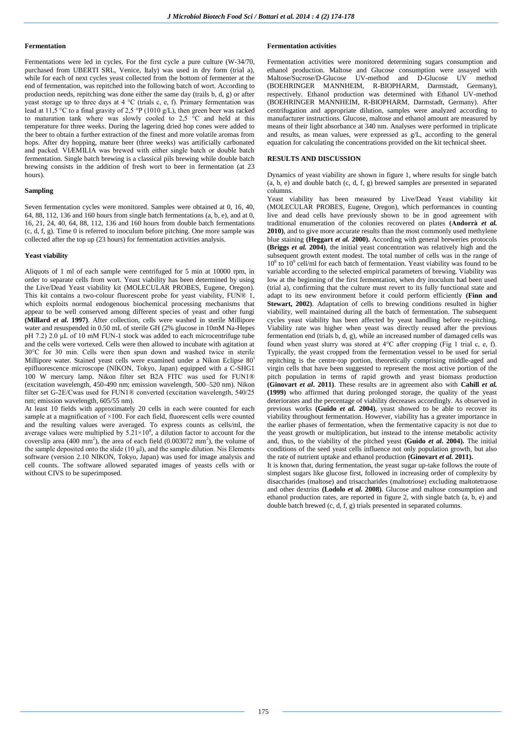#### **Fermentation**

Fermentations were led in cycles. For the first cycle a pure culture (W-34/70, purchased from UBERTI SRL, Venice, Italy) was used in dry form (trial a), while for each of next cycles yeast collected from the bottom of fermenter at the end of fermentation, was repitched into the following batch of wort. According to production needs, repitching was done either the same day (trails b, d, g) or after yeast storage up to three days at 4  $^{\circ}$ C (trials c, e, f). Primary fermentation was lead at 11,5 °C to a final gravity of 2,5 °P (1010 g/L), then green beer was racked to maturation tank where was slowly cooled to 2,5 °C and held at this temperature for three weeks. During the lagering dried hop cones were added to the beer to obtain a further extraction of the finest and more volatile aromas from hops. After dry hopping, mature beer (three weeks) was artificially carbonated and packed. VIÆMILIA was brewed with either single batch or double batch fermentation. Single batch brewing is a classical pils brewing while double batch brewing consists in the addition of fresh wort to beer in fermentation (at 23 hours).

#### **Sampling**

Seven fermentation cycles were monitored. Samples were obtained at 0, 16, 40, 64, 88, 112, 136 and 160 hours from single batch fermentations (a, b, e), and at 0, 16, 21, 24, 40, 64, 88, 112, 136 and 160 hours from double batch fermentations (c, d, f, g). Time 0 is referred to inoculum before pitching. One more sample was collected after the top up (23 hours) for fermentation activities analysis.

### **Yeast viability**

Aliquots of 1 ml of each sample were centrifuged for 5 min at 10000 rpm, in order to separate cells from wort. Yeast viability has been determined by using the Live/Dead Yeast viability kit (MOLECULAR PROBES, Eugene, Oregon). This kit contains a two-colour fluorescent probe for yeast viability, FUN® 1, which exploits normal endogenous biochemical processing mechanisms that appear to be well conserved among different species of yeast and other fungi **(Millard** *et al.* **1997)**. After collection, cells were washed in sterile Millipore water and resuspended in 0.50 mL of sterile GH (2% glucose in 10mM Na-Hepes pH 7.2) 2.0 μL of 10 mM FUN-1 stock was added to each microcentrifuge tube and the cells were vortexed. Cells were then allowed to incubate with agitation at 30°C for 30 min. Cells were then spun down and washed twice in sterile Millipore water. Stained yeast cells were examined under a Nikon Eclipse 80<sup>i</sup> epifluorescence microscope (NIKON, Tokyo, Japan) equipped with a C-SHG1 100 W mercury lamp. Nikon filter set B2A FITC was used for FUN1® (excitation wavelength, 450-490 nm; emission wavelength, 500–520 nm). Nikon filter set G-2E/Cwas used for FUN1® converted (excitation wavelength, 540/25 nm; emission wavelength, 605/55 nm).

At least 10 fields with approximately 20 cells in each were counted for each sample at a magnification of  $\times$ 100. For each field, fluorescent cells were counted and the resulting values were averaged. To express counts as cells/ml, the average values were multiplied by  $5.21 \times 10^8$ , a dilution factor to account for the coverslip area  $(400 \text{ mm}^2)$ , the area of each field  $(0.003072 \text{ mm}^2)$ , the volume of the sample deposited onto the slide  $(10 \mu l)$ , and the sample dilution. Nis Elements software (version 2.10 NIKON, Tokyo, Japan) was used for image analysis and cell counts. The software allowed separated images of yeasts cells with or without CIVS to be superimposed.

## **Fermentation activities**

Fermentation activities were monitored determining sugars consumption and ethanol production. Maltose and Glucose consumption were assayed with Maltose/Sucrose/D-Glucose UV-method and D-Glucose UV method (BOEHRINGER MANNHEIM, R-BIOPHARM, Darmstadt, Germany), respectively. Ethanol production was determined with Ethanol UV-method (BOEHRINGER MANNHEIM, R-BIOPHARM, Darmstadt, Germany). After centrifugation and appropriate dilution, samples were analyzed according to manufacturer instructions. Glucose, maltose and ethanol amount are measured by means of their light absorbance at 340 nm. Analyses were performed in triplicate and results, as mean values, were expressed as g/L, according to the general equation for calculating the concentrations provided on the kit technical sheet.

# **RESULTS AND DISCUSSION**

Dynamics of yeast viability are shown in figure 1, where results for single batch (a, b, e) and double batch (c, d, f, g) brewed samples are presented in separated columns.

Yeast viability has been measured by Live/Dead Yeast viability kit (MOLECULAR PROBES, Eugene, Oregon), which performances in counting live and dead cells have previously shown to be in good agreement with traditional enumeration of the colonies recovered on plates **(Andorrà** *et al.* **2010)**, and to give more accurate results than the most commonly used methylene blue staining **(Heggart** *et al.* **2000).** According with general breweries protocols **(Briggs** *et al.* **2004)**, the initial yeast concentration was relatively high and the subsequent growth extent modest. The total number of cells was in the range of  $10^8$  to  $10^9$  cell/ml for each batch of fermentation. Yeast viability was found to be variable according to the selected empirical parameters of brewing. Viability was low at the beginning of the first fermentation, when dry inoculum had been used (trial a), confirming that the culture must revert to its fully functional state and adapt to its new environment before it could perform efficiently **(Finn and Stewart, 2002)**. Adaptation of cells to brewing conditions resulted in higher viability, well maintained during all the batch of fermentation. The subsequent cycles yeast viability has been affected by yeast handling before re-pitching. Viability rate was higher when yeast was directly reused after the previous fermentation end (trials b, d, g), while an increased number of damaged cells was found when yeast slurry was stored at 4°C after cropping (Fig 1 trial c, e, f). Typically, the yeast cropped from the fermentation vessel to be used for serial repitching is the centre-top portion, theoretically comprising middle-aged and virgin cells that have been suggested to represent the most active portion of the pitch population in terms of rapid growth and yeast biomass production **(Ginovart** *et al***. 2011)**. These results are in agreement also with **Cahill** *et al.* **(1999)** who affirmed that during prolonged storage, the quality of the yeast deteriorates and the percentage of viability decreases accordingly. As observed in previous works **(Guido** *et al.* **2004)**, yeast showed to be able to recover its viability throughout fermentation. However, viability has a greater importance in the earlier phases of fermentation, when the fermentative capacity is not due to the yeast growth or multiplication, but instead to the intense metabolic activity and, thus, to the viability of the pitched yeast **(Guido** *et al***. 2004).** The initial conditions of the seed yeast cells influence not only population growth, but also the rate of nutrient uptake and ethanol production **(Ginovart** *et al.* **2011).**

It is known that, during fermentation, the yeast sugar up-take follows the route of simplest sugars like glucose first, followed in increasing order of complexity by disaccharides (maltose) and trisaccharides (maltotriose) excluding maltotetraose and other dextrins **(Lodolo** *et al.* **2008)**. Glucose and maltose consumption and ethanol production rates, are reported in figure 2, with single batch (a, b, e) and double batch brewed (c, d, f, g) trials presented in separated columns.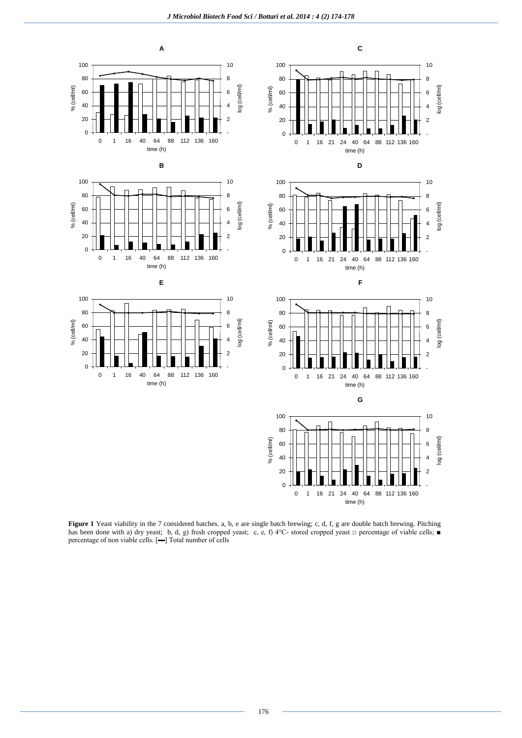

**Figure 1** Yeast viability in the 7 considered batches. a, b, e are single batch brewing; c, d, f, g are double batch brewing. Pitching has been done with a) dry yeast; b, d, g) fresh cropped yeast; c, e, f) 4°C- stored cropped yeast □ percentage of viable cells; ■ percentage of non viable cells. [▬] Total number of cells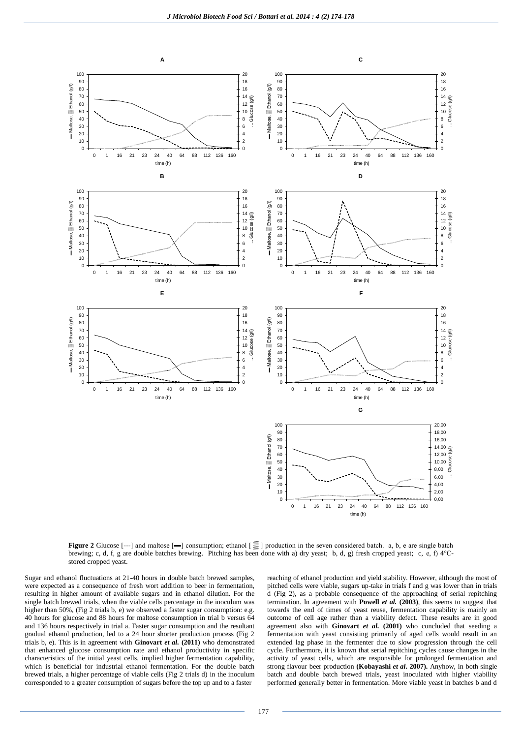

**Figure 2** Glucose [---] and maltose [--] consumption; ethanol [ $\equiv$ ] production in the seven considered batch. a, b, e are single batch brewing; c, d, f, g are double batches brewing. Pitching has been done with a) dry yeast; b, d, g) fresh cropped yeast; c, e, f) 4°Cstored cropped yeast.

Sugar and ethanol fluctuations at 21-40 hours in double batch brewed samples, were expected as a consequence of fresh wort addition to beer in fermentation, resulting in higher amount of available sugars and in ethanol dilution. For the single batch brewed trials, when the viable cells percentage in the inoculum was higher than 50%, (Fig 2 trials b, e) we observed a faster sugar consumption: e.g. 40 hours for glucose and 88 hours for maltose consumption in trial b versus 64 and 136 hours respectively in trial a. Faster sugar consumption and the resultant gradual ethanol production, led to a 24 hour shorter production process (Fig 2 trials b, e). This is in agreement with **Ginovart** *et al.* **(2011)** who demonstrated that enhanced glucose consumption rate and ethanol productivity in specific characteristics of the initial yeast cells, implied higher fermentation capability, which is beneficial for industrial ethanol fermentation. For the double batch brewed trials, a higher percentage of viable cells (Fig 2 trials d) in the inoculum corresponded to a greater consumption of sugars before the top up and to a faster

reaching of ethanol production and yield stability. However, although the most of pitched cells were viable, sugars up-take in trials f and g was lower than in trials d (Fig 2), as a probable consequence of the approaching of serial repitching termination. In agreement with **Powell** *et al.* **(2003)**, this seems to suggest that towards the end of times of yeast reuse, fermentation capability is mainly an outcome of cell age rather than a viability defect. These results are in good agreement also with **Ginovart** *et al.* **(2001)** who concluded that seeding a fermentation with yeast consisting primarily of aged cells would result in an extended lag phase in the fermenter due to slow progression through the cell cycle. Furthermore, it is known that serial repitching cycles cause changes in the activity of yeast cells, which are responsible for prolonged fermentation and strong flavour beer production **(Kobayashi** *et al***. 2007).** Anyhow, in both single batch and double batch brewed trials, yeast inoculated with higher viability performed generally better in fermentation. More viable yeast in batches b and d